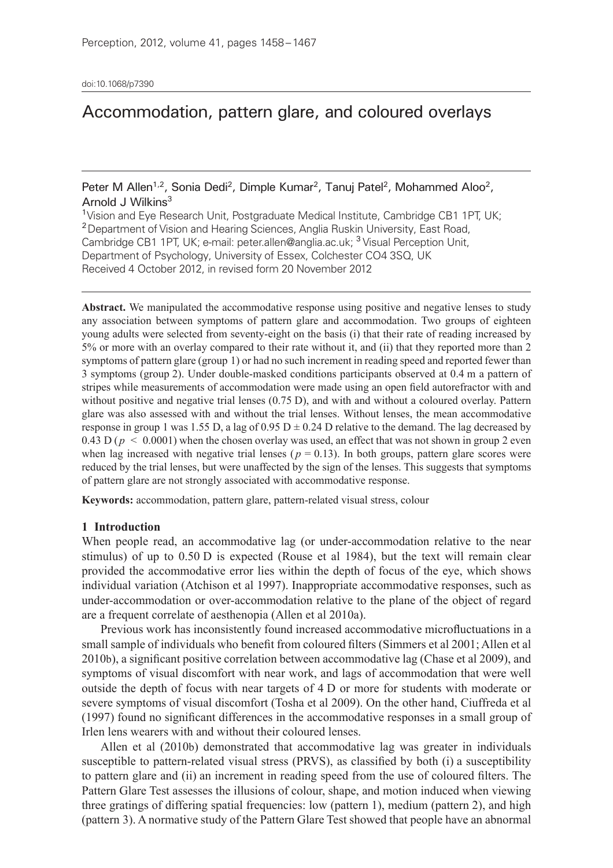#### doi:10.1068/p7390

# Accommodation, pattern glare, and coloured overlays

Peter M Allen<sup>1,2</sup>, Sonia Dedi<sup>2</sup>, Dimple Kumar<sup>2</sup>, Tanuj Patel<sup>2</sup>, Mohammed Aloo<sup>2</sup>, Arnold J Wilkins<sup>3</sup>

<sup>1</sup>Vision and Eye Research Unit, Postgraduate Medical Institute, Cambridge CB1 1PT, UK; <sup>2</sup>Department of Vision and Hearing Sciences, Anglia Ruskin University, East Road, Cambridge CB1 1PT, UK; e-mail: peter.allen@anglia.ac.uk; <sup>3</sup> Visual Perception Unit, Department of Psychology, University of Essex, Colchester CO4 3SQ, UK Received 4 October 2012, in revised form 20 November 2012

**Abstract.** We manipulated the accommodative response using positive and negative lenses to study any association between symptoms of pattern glare and accommodation. Two groups of eighteen young adults were selected from seventy-eight on the basis (i) that their rate of reading increased by 5% or more with an overlay compared to their rate without it, and (ii) that they reported more than 2 symptoms of pattern glare (group 1) or had no such increment in reading speed and reported fewer than 3 symptoms (group 2). Under double-masked conditions participants observed at 0.4 m a pattern of stripes while measurements of accommodation were made using an open field autorefractor with and without positive and negative trial lenses (0.75 D), and with and without a coloured overlay. Pattern glare was also assessed with and without the trial lenses. Without lenses, the mean accommodative response in group 1 was 1.55 D, a lag of 0.95 D  $\pm$  0.24 D relative to the demand. The lag decreased by 0.43 D ( $p \le 0.0001$ ) when the chosen overlay was used, an effect that was not shown in group 2 even when lag increased with negative trial lenses ( $p = 0.13$ ). In both groups, pattern glare scores were reduced by the trial lenses, but were unaffected by the sign of the lenses. This suggests that symptoms of pattern glare are not strongly associated with accommodative response.

**Keywords:** accommodation, pattern glare, pattern-related visual stress, colour

## **1 Introduction**

When people read, an accommodative lag (or under-accommodation relative to the near stimulus) of up to 0.50 D is expected (Rouse et al 1984), but the text will remain clear provided the accommodative error lies within the depth of focus of the eye, which shows individual variation (Atchison et al 1997). Inappropriate accommodative responses, such as under-accommodation or over-accommodation relative to the plane of the object of regard are a frequent correlate of aesthenopia (Allen et al 2010a).

Previous work has inconsistently found increased accommodative microfluctuations in a small sample of individuals who benefit from coloured filters (Simmers et al 2001; Allen et al 2010b), a significant positive correlation between accommodative lag (Chase et al 2009), and symptoms of visual discomfort with near work, and lags of accommodation that were well outside the depth of focus with near targets of 4 D or more for students with moderate or severe symptoms of visual discomfort (Tosha et al 2009). On the other hand, Ciuffreda et al (1997) found no significant differences in the accommodative responses in a small group of Irlen lens wearers with and without their coloured lenses.

Allen et al (2010b) demonstrated that accommodative lag was greater in individuals susceptible to pattern-related visual stress (PRVS), as classified by both (i) a susceptibility to pattern glare and (ii) an increment in reading speed from the use of coloured filters. The Pattern Glare Test assesses the illusions of colour, shape, and motion induced when viewing three gratings of differing spatial frequencies: low (pattern 1), medium (pattern 2), and high (pattern 3). A normative study of the Pattern Glare Test showed that people have an abnormal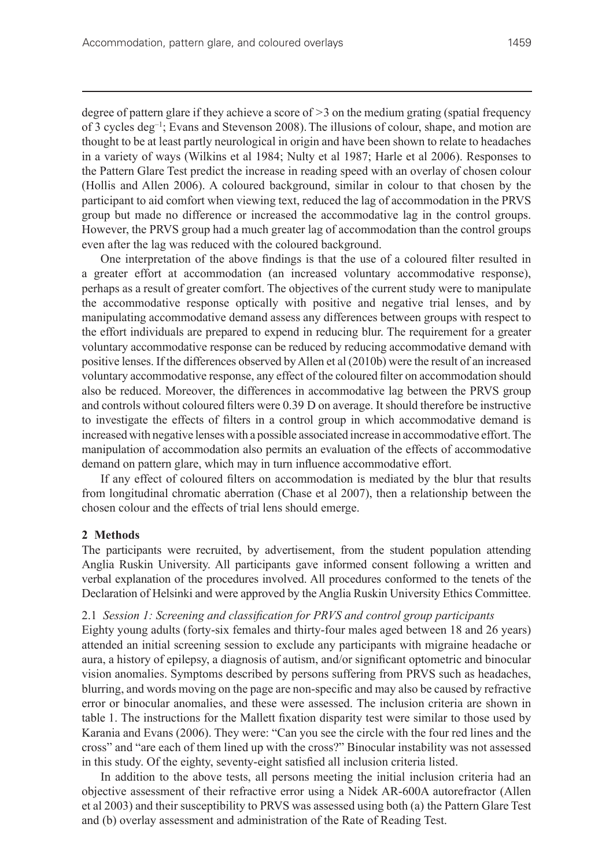degree of pattern glare if they achieve a score of *>*3 on the medium grating (spatial frequency of 3 cycles deg–1; Evans and Stevenson 2008).The illusions of colour, shape, and motion are thought to be at least partly neurological in origin and have been shown to relate to headaches in a variety of ways (Wilkins et al 1984; Nulty et al 1987; Harle et al 2006). Responses to the Pattern Glare Test predict the increase in reading speed with an overlay of chosen colour (Hollis and Allen 2006). A coloured background, similar in colour to that chosen by the participant to aid comfort when viewing text, reduced the lag of accommodation in the PRVS group but made no difference or increased the accommodative lag in the control groups. However, the PRVS group had a much greater lag of accommodation than the control groups even after the lag was reduced with the coloured background.

One interpretation of the above findings is that the use of a coloured filter resulted in a greater effort at accommodation (an increased voluntary accommodative response), perhaps as a result of greater comfort. The objectives of the current study were to manipulate the accommodative response optically with positive and negative trial lenses, and by manipulating accommodative demand assess any differences between groups with respect to the effort individuals are prepared to expend in reducing blur. The requirement for a greater voluntary accommodative response can be reduced by reducing accommodative demand with positive lenses. If the differences observed by Allen et al (2010b) were the result of an increased voluntary accommodative response, any effect of the coloured filter on accommodation should also be reduced. Moreover, the differences in accommodative lag between the PRVS group and controls without coloured filters were 0.39 D on average. It should therefore be instructive to investigate the effects of filters in a control group in which accommodative demand is increased with negative lenses with a possible associated increase in accommodative effort. The manipulation of accommodation also permits an evaluation of the effects of accommodative demand on pattern glare, which may in turn influence accommodative effort.

If any effect of coloured filters on accommodation is mediated by the blur that results from longitudinal chromatic aberration (Chase et al 2007), then a relationship between the chosen colour and the effects of trial lens should emerge.

# **2 Methods**

The participants were recruited, by advertisement, from the student population attending Anglia Ruskin University. All participants gave informed consent following a written and verbal explanation of the procedures involved. All procedures conformed to the tenets of the Declaration of Helsinki and were approved by the Anglia Ruskin University Ethics Committee.

## 2.1 *Session 1: Screening and classification for PRVS and control group participants*

Eighty young adults (forty-six females and thirty-four males aged between 18 and 26 years) attended an initial screening session to exclude any participants with migraine headache or aura, a history of epilepsy, a diagnosis of autism, and/or significant optometric and binocular vision anomalies. Symptoms described by persons suffering from PRVS such as headaches, blurring, and words moving on the page are non-specific and may also be caused by refractive error or binocular anomalies, and these were assessed. The inclusion criteria are shown in table 1. The instructions for the Mallett fixation disparity test were similar to those used by Karania and Evans (2006). They were: "Can you see the circle with the four red lines and the cross" and "are each of them lined up with the cross?" Binocular instability was not assessed in this study. Of the eighty, seventy-eight satisfied all inclusion criteria listed.

In addition to the above tests, all persons meeting the initial inclusion criteria had an objective assessment of their refractive error using a Nidek AR‑600A autorefractor (Allen et al 2003) and their susceptibility to PRVS was assessed using both (a) the Pattern Glare Test and (b) overlay assessment and administration of the Rate of Reading Test.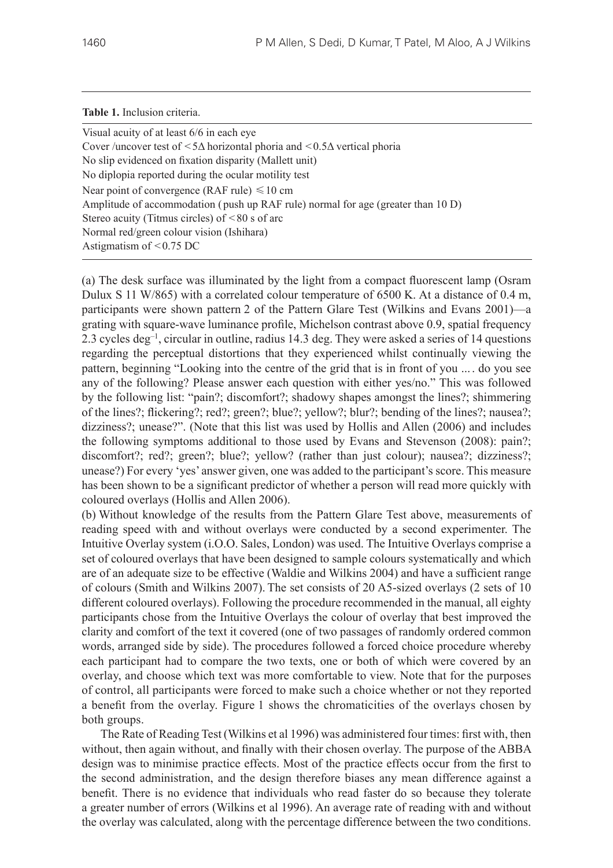## **Table 1.** Inclusion criteria.

| Visual acuity of at least 6/6 in each eye                                                          |
|----------------------------------------------------------------------------------------------------|
| Cover /uncover test of $\leq$ 5 $\Delta$ horizontal phoria and $\leq$ 0.5 $\Delta$ vertical phoria |
| No slip evidenced on fixation disparity (Mallett unit)                                             |
| No diplopia reported during the ocular motility test                                               |
| Near point of convergence (RAF rule) $\leq 10$ cm                                                  |
| Amplitude of accommodation (push up RAF rule) normal for age (greater than 10 D)                   |
| Stereo acuity (Titmus circles) of $\leq 80$ s of arc                                               |
| Normal red/green colour vision (Ishihara)                                                          |
| Astigmatism of $\leq$ 0.75 DC                                                                      |
|                                                                                                    |

(a) The desk surface was illuminated by the light from a compact fluorescent lamp (Osram Dulux S 11 W/865) with a correlated colour temperature of 6500 K. At a distance of 0.4 m, participants were shown pattern 2 of the Pattern Glare Test (Wilkins and Evans 2001)—a grating with square-wave luminance profile, Michelson contrast above 0.9, spatial frequency 2.3 cycles deg–1, circular in outline, radius 14.3 deg. They were asked a series of 14 questions regarding the perceptual distortions that they experienced whilst continually viewing the pattern, beginning "Looking into the centre of the grid that is in front of you .... do you see any of the following? Please answer each question with either yes/no." This was followed by the following list: "pain?; discomfort?; shadowy shapes amongst the lines?; shimmering of the lines?; flickering?; red?; green?; blue?; yellow?; blur?; bending of the lines?; nausea?; dizziness?; unease?". (Note that this list was used by Hollis and Allen (2006) and includes the following symptoms additional to those used by Evans and Stevenson (2008): pain?; discomfort?; red?; green?; blue?; yellow? (rather than just colour); nausea?; dizziness?; unease?) For every 'yes' answer given, one was added to the participant's score. This measure has been shown to be a significant predictor of whether a person will read more quickly with coloured overlays (Hollis and Allen 2006).

(b) Without knowledge of the results from the Pattern Glare Test above, measurements of reading speed with and without overlays were conducted by a second experimenter. The Intuitive Overlay system (i.O.O. Sales, London) was used. The Intuitive Overlays comprise a set of coloured overlays that have been designed to sample colours systematically and which are of an adequate size to be effective (Waldie and Wilkins 2004) and have a sufficient range of colours (Smith and Wilkins 2007). The set consists of 20 A5-sized overlays (2 sets of 10 different coloured overlays). Following the procedure recommended in the manual, all eighty participants chose from the Intuitive Overlays the colour of overlay that best improved the clarity and comfort of the text it covered (one of two passages of randomly ordered common words, arranged side by side). The procedures followed a forced choice procedure whereby each participant had to compare the two texts, one or both of which were covered by an overlay, and choose which text was more comfortable to view. Note that for the purposes of control, all participants were forced to make such a choice whether or not they reported a benefit from the overlay. Figure 1 shows the chromaticities of the overlays chosen by both groups.

The Rate of Reading Test (Wilkins et al 1996) was administered four times: first with, then without, then again without, and finally with their chosen overlay. The purpose of the ABBA design was to minimise practice effects. Most of the practice effects occur from the first to the second administration, and the design therefore biases any mean difference against a benefit. There is no evidence that individuals who read faster do so because they tolerate a greater number of errors (Wilkins et al 1996). An average rate of reading with and without the overlay was calculated, along with the percentage difference between the two conditions.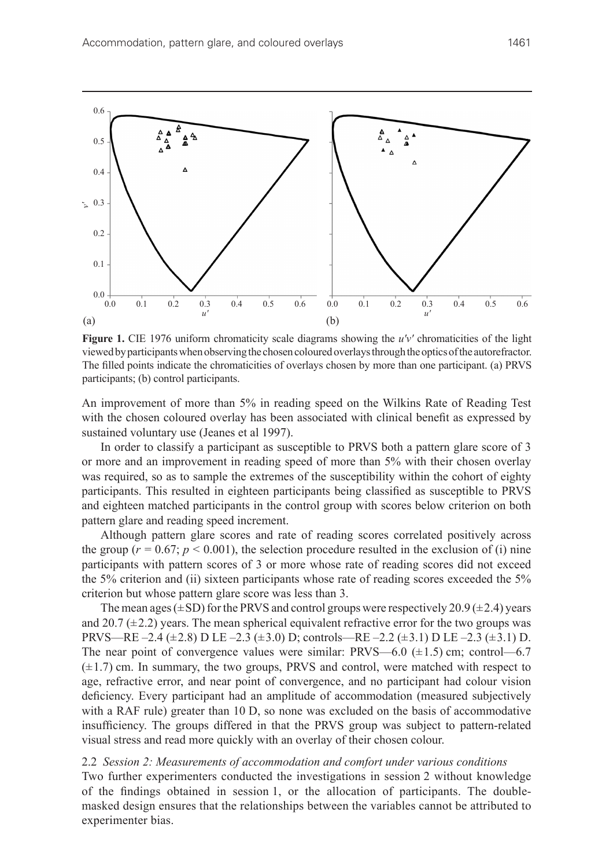

**Figure 1.** CIE 1976 uniform chromaticity scale diagrams showing the *u′v′* chromaticities of the light viewed by participants when observing the chosen coloured overlays through the optics of the autorefractor. The filled points indicate the chromaticities of overlays chosen by more than one participant. (a) PRVS participants; (b) control participants.

An improvement of more than 5% in reading speed on the Wilkins Rate of Reading Test with the chosen coloured overlay has been associated with clinical benefit as expressed by sustained voluntary use (Jeanes et al 1997).

In order to classify a participant as susceptible to PRVS both a pattern glare score of 3 or more and an improvement in reading speed of more than 5% with their chosen overlay was required, so as to sample the extremes of the susceptibility within the cohort of eighty participants. This resulted in eighteen participants being classified as susceptible to PRVS and eighteen matched participants in the control group with scores below criterion on both pattern glare and reading speed increment.

Although pattern glare scores and rate of reading scores correlated positively across the group ( $r = 0.67$ ;  $p < 0.001$ ), the selection procedure resulted in the exclusion of (i) nine participants with pattern scores of 3 or more whose rate of reading scores did not exceed the 5% criterion and (ii) sixteen participants whose rate of reading scores exceeded the 5% criterion but whose pattern glare score was less than 3.

The mean ages ( $\pm$ SD) for the PRVS and control groups were respectively 20.9 ( $\pm$ 2.4) years and 20.7  $(\pm 2.2)$  years. The mean spherical equivalent refractive error for the two groups was PRVS—RE –2.4 ( $\pm$ 2.8) D LE –2.3 ( $\pm$ 3.0) D; controls—RE –2.2 ( $\pm$ 3.1) D LE –2.3 ( $\pm$ 3.1) D. The near point of convergence values were similar: PRVS—6.0  $(\pm 1.5)$  cm; control—6.7  $(\pm 1.7)$  cm. In summary, the two groups, PRVS and control, were matched with respect to age, refractive error, and near point of convergence, and no participant had colour vision deficiency. Every participant had an amplitude of accommodation (measured subjectively with a RAF rule) greater than 10 D, so none was excluded on the basis of accommodative insufficiency. The groups differed in that the PRVS group was subject to pattern-related visual stress and read more quickly with an overlay of their chosen colour.

# 2.2 *Session 2: Measurements of accommodation and comfort under various conditions*

Two further experimenters conducted the investigations in session 2 without knowledge of the findings obtained in session 1, or the allocation of participants. The doublemasked design ensures that the relationships between the variables cannot be attributed to experimenter bias.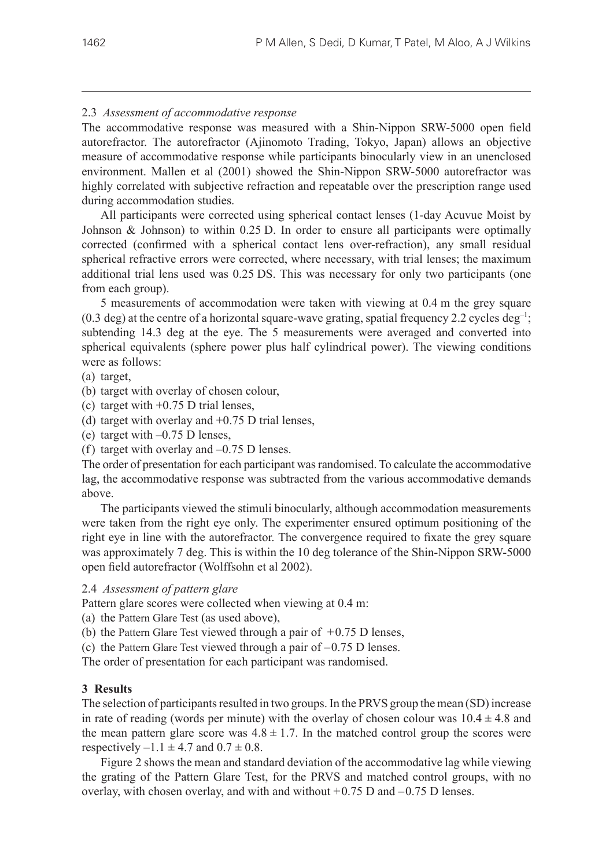# 2.3 *Assessment of accommodative response*

The accommodative response was measured with a Shin-Nippon SRW-5000 open field autorefractor. The autorefractor (Ajinomoto Trading, Tokyo, Japan) allows an objective measure of accommodative response while participants binocularly view in an unenclosed environment. Mallen et al (2001) showed the Shin-Nippon SRW-5000 autorefractor was highly correlated with subjective refraction and repeatable over the prescription range used during accommodation studies.

All participants were corrected using spherical contact lenses (1-day Acuvue Moist by Johnson & Johnson) to within 0.25 D. In order to ensure all participants were optimally corrected (confirmed with a spherical contact lens over-refraction), any small residual spherical refractive errors were corrected, where necessary, with trial lenses; the maximum additional trial lens used was 0.25 DS. This was necessary for only two participants (one from each group).

5 measurements of accommodation were taken with viewing at 0.4 m the grey square  $(0.3 \text{ deg})$  at the centre of a horizontal square-wave grating, spatial frequency 2.2 cycles deg<sup>-1</sup>; subtending 14.3 deg at the eye. The 5 measurements were averaged and converted into spherical equivalents (sphere power plus half cylindrical power). The viewing conditions were as follows:

# (a) target,

- (b) target with overlay of chosen colour,
- (c) target with +0.75 D trial lenses,
- (d) target with overlay and +0.75 D trial lenses,
- (e) target with –0.75 D lenses,
- (f) target with overlay and –0.75 D lenses.

The order of presentation for each participant was randomised. To calculate the accommodative lag, the accommodative response was subtracted from the various accommodative demands above.

The participants viewed the stimuli binocularly, although accommodation measurements were taken from the right eye only. The experimenter ensured optimum positioning of the right eye in line with the autorefractor. The convergence required to fixate the grey square was approximately 7 deg. This is within the 10 deg tolerance of the Shin-Nippon SRW-5000 open field autorefractor (Wolffsohn et al 2002).

# 2.4 *Assessment of pattern glare*

Pattern glare scores were collected when viewing at 0.4 m:

- (a) the Pattern Glare Test (as used above),
- (b) the Pattern Glare Test viewed through a pair of  $+0.75$  D lenses,
- (c) the Pattern Glare Test viewed through a pair of  $-0.75$  D lenses.

The order of presentation for each participant was randomised.

# **3 Results**

The selection of participants resulted in two groups. In the PRVS group the mean (SD) increase in rate of reading (words per minute) with the overlay of chosen colour was  $10.4 \pm 4.8$  and the mean pattern glare score was  $4.8 \pm 1.7$ . In the matched control group the scores were respectively  $-1.1 \pm 4.7$  and  $0.7 \pm 0.8$ .

Figure 2 shows the mean and standard deviation of the accommodative lag while viewing the grating of the Pattern Glare Test, for the PRVS and matched control groups, with no overlay, with chosen overlay, and with and without  $+0.75$  D and  $-0.75$  D lenses.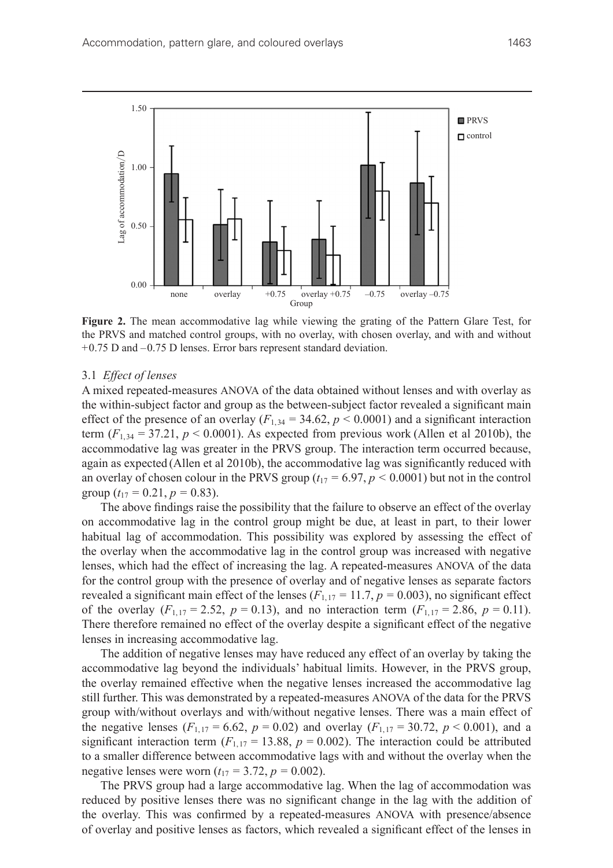

**Figure 2.** The mean accommodative lag while viewing the grating of the Pattern Glare Test, for the PRVS and matched control groups, with no overlay, with chosen overlay, and with and without + 0.75 D and – 0.75 D lenses. Error bars represent standard deviation.

## 3.1 *Effect of lenses*

A mixed repeated-measures ANOVA of the data obtained without lenses and with overlay as the within-subject factor and group as the between-subject factor revealed a significant main effect of the presence of an overlay  $(F_{1,34} = 34.62, p \le 0.0001)$  and a significant interaction term  $(F_{1,34} = 37.21, p \le 0.0001)$ . As expected from previous work (Allen et al 2010b), the accommodative lag was greater in the PRVS group. The interaction term occurred because, again as expected (Allen et al 2010b), the accommodative lag was significantly reduced with an overlay of chosen colour in the PRVS group  $(t_{17} = 6.97, p \le 0.0001)$  but not in the control group ( $t_{17} = 0.21$ ,  $p = 0.83$ ).

The above findings raise the possibility that the failure to observe an effect of the overlay on accommodative lag in the control group might be due, at least in part, to their lower habitual lag of accommodation. This possibility was explored by assessing the effect of the overlay when the accommodative lag in the control group was increased with negative lenses, which had the effect of increasing the lag. A repeated-measures ANOVA of the data for the control group with the presence of overlay and of negative lenses as separate factors revealed a significant main effect of the lenses ( $F_{1,17} = 11.7$ ,  $p = 0.003$ ), no significant effect of the overlay ( $F_{1,17} = 2.52$ ,  $p = 0.13$ ), and no interaction term ( $F_{1,17} = 2.86$ ,  $p = 0.11$ ). There therefore remained no effect of the overlay despite a significant effect of the negative lenses in increasing accommodative lag.

The addition of negative lenses may have reduced any effect of an overlay by taking the accommodative lag beyond the individuals' habitual limits. However, in the PRVS group, the overlay remained effective when the negative lenses increased the accommodative lag still further. This was demonstrated by a repeated-measures ANOVA of the data for the PRVS group with/without overlays and with/without negative lenses. There was a main effect of the negative lenses  $(F_{1,17} = 6.62, p = 0.02)$  and overlay  $(F_{1,17} = 30.72, p < 0.001)$ , and a significant interaction term  $(F_{1,17} = 13.88, p = 0.002)$ . The interaction could be attributed to a smaller difference between accommodative lags with and without the overlay when the negative lenses were worn  $(t_{17} = 3.72, p = 0.002)$ .

The PRVS group had a large accommodative lag. When the lag of accommodation was reduced by positive lenses there was no significant change in the lag with the addition of the overlay. This was confirmed by a repeated-measures ANOVA with presence/absence of overlay and positive lenses as factors, which revealed a significant effect of the lenses in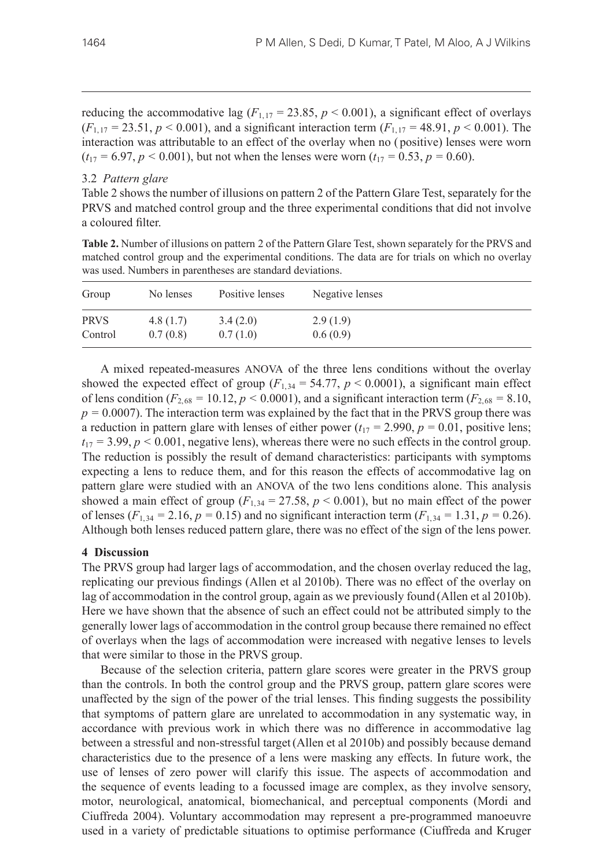reducing the accommodative lag ( $F_{1,17}$  = 23.85,  $p$  < 0.001), a significant effect of overlays  $(F_{1,17} = 23.51, p \le 0.001)$ , and a significant interaction term  $(F_{1,17} = 48.91, p \le 0.001)$ . The interaction was attributable to an effect of the overlay when no ( positive) lenses were worn  $(t_{17} = 6.97, p \le 0.001)$ , but not when the lenses were worn  $(t_{17} = 0.53, p = 0.60)$ .

## 3.2 *Pattern glare*

Table 2 shows the number of illusions on pattern 2 of the Pattern Glare Test, separately for the PRVS and matched control group and the three experimental conditions that did not involve a coloured filter.

**Table 2.** Number of illusions on pattern 2 of the Pattern Glare Test, shown separately for the PRVS and matched control group and the experimental conditions. The data are for trials on which no overlay was used. Numbers in parentheses are standard deviations.

| Group       | No lenses | Positive lenses | Negative lenses |
|-------------|-----------|-----------------|-----------------|
| <b>PRVS</b> | 4.8(1.7)  | 3.4(2.0)        | 2.9(1.9)        |
| Control     | 0.7(0.8)  | 0.7(1.0)        | 0.6(0.9)        |

A mixed repeated-measures ANOVA of the three lens conditions without the overlay showed the expected effect of group  $(F_{1,34} = 54.77, p \le 0.0001)$ , a significant main effect of lens condition ( $F_{2,68} = 10.12$ ,  $p < 0.0001$ ), and a significant interaction term ( $F_{2,68} = 8.10$ ,  $p = 0.0007$ ). The interaction term was explained by the fact that in the PRVS group there was a reduction in pattern glare with lenses of either power  $(t_{17} = 2.990, p = 0.01$ , positive lens;  $t_{17} = 3.99$ ,  $p < 0.001$ , negative lens), whereas there were no such effects in the control group. The reduction is possibly the result of demand characteristics: participants with symptoms expecting a lens to reduce them, and for this reason the effects of accommodative lag on pattern glare were studied with an ANOVA of the two lens conditions alone. This analysis showed a main effect of group  $(F_{1,34} = 27.58, p \le 0.001)$ , but no main effect of the power of lenses  $(F_{1,34} = 2.16, p = 0.15)$  and no significant interaction term  $(F_{1,34} = 1.31, p = 0.26)$ . Although both lenses reduced pattern glare, there was no effect of the sign of the lens power.

# **4 Discussion**

The PRVS group had larger lags of accommodation, and the chosen overlay reduced the lag, replicating our previous findings (Allen et al 2010b). There was no effect of the overlay on lag of accommodation in the control group, again as we previously found (Allen et al 2010b). Here we have shown that the absence of such an effect could not be attributed simply to the generally lower lags of accommodation in the control group because there remained no effect of overlays when the lags of accommodation were increased with negative lenses to levels that were similar to those in the PRVS group.

Because of the selection criteria, pattern glare scores were greater in the PRVS group than the controls. In both the control group and the PRVS group, pattern glare scores were unaffected by the sign of the power of the trial lenses. This finding suggests the possibility that symptoms of pattern glare are unrelated to accommodation in any systematic way, in accordance with previous work in which there was no difference in accommodative lag between a stressful and non-stressful target(Allen et al 2010b) and possibly because demand characteristics due to the presence of a lens were masking any effects. In future work, the use of lenses of zero power will clarify this issue. The aspects of accommodation and the sequence of events leading to a focussed image are complex, as they involve sensory, motor, neurological, anatomical, biomechanical, and perceptual components (Mordi and Ciuffreda 2004). Voluntary accommodation may represent a pre-programmed manoeuvre used in a variety of predictable situations to optimise performance (Ciuffreda and Kruger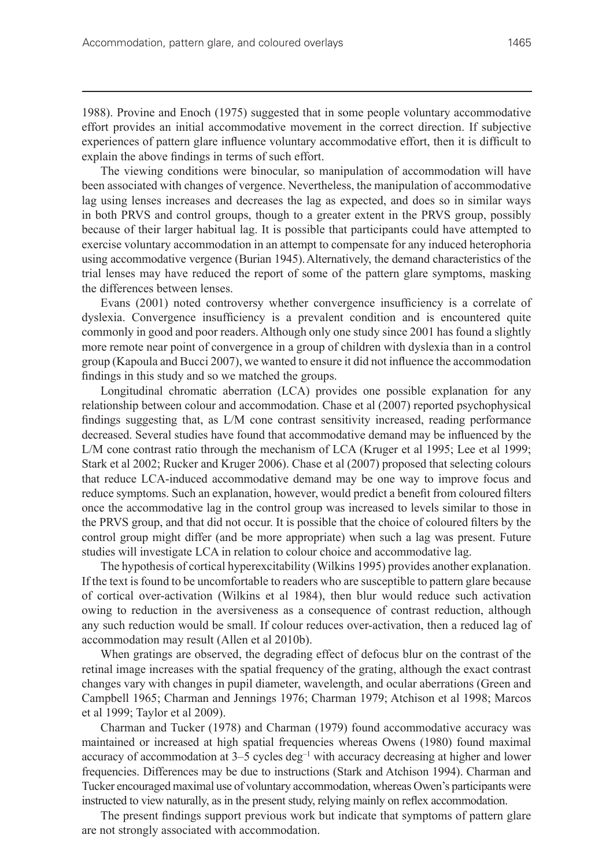1988). Provine and Enoch (1975) suggested that in some people voluntary accommodative effort provides an initial accommodative movement in the correct direction. If subjective experiences of pattern glare influence voluntary accommodative effort, then it is difficult to explain the above findings in terms of such effort.

The viewing conditions were binocular, so manipulation of accommodation will have been associated with changes of vergence. Nevertheless, the manipulation of accommodative lag using lenses increases and decreases the lag as expected, and does so in similar ways in both PRVS and control groups, though to a greater extent in the PRVS group, possibly because of their larger habitual lag. It is possible that participants could have attempted to exercise voluntary accommodation in an attempt to compensate for any induced heterophoria using accommodative vergence (Burian 1945).Alternatively, the demand characteristics of the trial lenses may have reduced the report of some of the pattern glare symptoms, masking the differences between lenses.

Evans (2001) noted controversy whether convergence insufficiency is a correlate of dyslexia. Convergence insufficiency is a prevalent condition and is encountered quite commonly in good and poor readers. Although only one study since 2001 has found a slightly more remote near point of convergence in a group of children with dyslexia than in a control group (Kapoula and Bucci 2007), we wanted to ensure it did not influence the accommodation findings in this study and so we matched the groups.

Longitudinal chromatic aberration (LCA) provides one possible explanation for any relationship between colour and accommodation. Chase et al (2007) reported psychophysical findings suggesting that, as L/M cone contrast sensitivity increased, reading performance decreased. Several studies have found that accommodative demand may be influenced by the L/M cone contrast ratio through the mechanism of LCA (Kruger et al 1995; Lee et al 1999; Stark et al 2002; Rucker and Kruger 2006). Chase et al (2007) proposed that selecting colours that reduce LCA-induced accommodative demand may be one way to improve focus and reduce symptoms. Such an explanation, however, would predict a benefit from coloured filters once the accommodative lag in the control group was increased to levels similar to those in the PRVS group, and that did not occur. It is possible that the choice of coloured filters by the control group might differ (and be more appropriate) when such a lag was present. Future studies will investigate LCA in relation to colour choice and accommodative lag.

The hypothesis of cortical hyperexcitability (Wilkins 1995) provides another explanation. If the text is found to be uncomfortable to readers who are susceptible to pattern glare because of cortical over-activation (Wilkins et al 1984), then blur would reduce such activation owing to reduction in the aversiveness as a consequence of contrast reduction, although any such reduction would be small. If colour reduces over-activation, then a reduced lag of accommodation may result (Allen et al 2010b).

When gratings are observed, the degrading effect of defocus blur on the contrast of the retinal image increases with the spatial frequency of the grating, although the exact contrast changes vary with changes in pupil diameter, wavelength, and ocular aberrations (Green and Campbell 1965; Charman and Jennings 1976; Charman 1979; Atchison et al 1998; Marcos et al 1999; Taylor et al 2009).

Charman and Tucker (1978) and Charman (1979) found accommodative accuracy was maintained or increased at high spatial frequencies whereas Owens (1980) found maximal accuracy of accommodation at  $3-5$  cycles deg<sup>-1</sup> with accuracy decreasing at higher and lower frequencies. Differences may be due to instructions (Stark and Atchison 1994). Charman and Tucker encouraged maximal use of voluntary accommodation, whereas Owen's participants were instructed to view naturally, as in the present study, relying mainly on reflex accommodation.

The present findings support previous work but indicate that symptoms of pattern glare are not strongly associated with accommodation.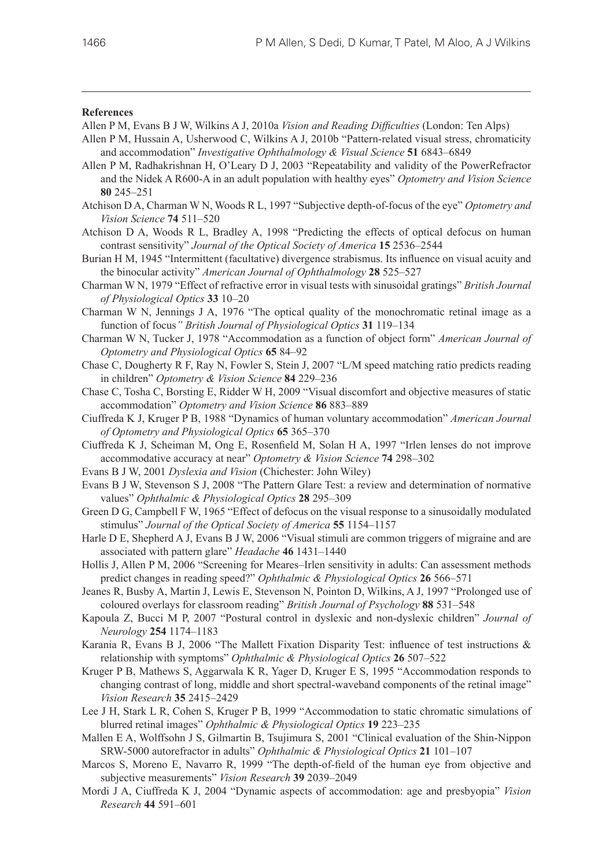#### **References**

Allen P M, Evans B J W, Wilkins A J, 2010a *Vision and Reading Difficulties* (London: Ten Alps)

- Allen P M, Hussain A, Usherwood C, Wilkins A J, 2010b "Pattern-related visual stress, chromaticity and accommodation" *Investigative Ophthalmology & Visual Science* **51** 6843–6849
- Allen P M, Radhakrishnan H, O'Leary D J, 2003 "Repeatability and validity of the PowerRefractor and the Nidek A R600-A in an adult population with healthy eyes" *Optometry and Vision Science* **80** 245–251
- Atchison D A, Charman W N, Woods R L, 1997 "Subjective depth-of-focus of the eye" *Optometry and Vision Science* **74** 511–520
- Atchison D A, Woods R L, Bradley A, 1998 "Predicting the effects of optical defocus on human contrast sensitivity" *Journal of the Optical Society of America* **15** 2536–2544
- Burian H M, 1945 "Intermittent (facultative) divergence strabismus. Its influence on visual acuity and the binocular activity" *American Journal of Ophthalmology* **28** 525–527
- Charman W N, 1979 "Effect of refractive error in visual tests with sinusoidal gratings" *British Journal of Physiological Optics* **33** 10–20
- Charman W N, Jennings J A, 1976 "The optical quality of the monochromatic retinal image as a function of focus*" British Journal of Physiological Optics* **31** 119–134
- Charman W N, Tucker J, 1978 "Accommodation as a function of object form" *American Journal of Optometry and Physiological Optics* **65** 84–92
- Chase C, Dougherty R F, Ray N, Fowler S, Stein J, 2007 "L/M speed matching ratio predicts reading in children" *Optometry & Vision Science* **84** 229–236
- Chase C, Tosha C, Borsting E, Ridder W H, 2009 "Visual discomfort and objective measures of static accommodation" *Optometry and Vision Science* **86** 883–889
- Ciuffreda K J, Kruger P B, 1988 "Dynamics of human voluntary accommodation" *American Journal of Optometry and Physiological Optics* **65** 365–370
- Ciuffreda K J, Scheiman M, Ong E, Rosenfield M, Solan H A, 1997 "Irlen lenses do not improve accommodative accuracy at near" *Optometry & Vision Science* **74** 298–302
- Evans B J W, 2001 *Dyslexia and Vision* (Chichester: John Wiley)
- Evans B J W, Stevenson S J, 2008 "The Pattern Glare Test: a review and determination of normative values" *Ophthalmic & Physiological Optics* **28** 295–309
- Green D G, Campbell F W, 1965 "Effect of defocus on the visual response to a sinusoidally modulated stimulus" *Journal of the Optical Society of America* **55** 1154–1157
- Harle D E, Shepherd A J, Evans B J W, 2006 "Visual stimuli are common triggers of migraine and are associated with pattern glare" *Headache* **46** 1431–1440
- Hollis J, Allen P M, 2006 "Screening for Meares–Irlen sensitivity in adults: Can assessment methods predict changes in reading speed?" *Ophthalmic & Physiological Optics* **26** 566–571
- Jeanes R, Busby A, Martin J, Lewis E, Stevenson N, Pointon D, Wilkins, A J, 1997 "Prolonged use of coloured overlays for classroom reading" *British Journal of Psychology* **88** 531–548
- Kapoula Z, Bucci M P, 2007 "Postural control in dyslexic and non-dyslexic children" *Journal of Neurology* **254** 1174–1183
- Karania R, Evans B J, 2006 "The Mallett Fixation Disparity Test: influence of test instructions & relationship with symptoms" *Ophthalmic & Physiological Optics* **26** 507–522
- Kruger P B, Mathews S, Aggarwala K R, Yager D, Kruger E S, 1995 "Accommodation responds to changing contrast of long, middle and short spectral-waveband components of the retinal image" *Vision Research* **35** 2415–2429
- Lee J H, Stark L R, Cohen S, Kruger P B, 1999 "Accommodation to static chromatic simulations of blurred retinal images" *Ophthalmic & Physiological Optics* **19** 223–235
- Mallen E A, Wolffsohn J S, Gilmartin B, Tsujimura S, 2001 "Clinical evaluation of the Shin-Nippon SRW-5000 autorefractor in adults" *Ophthalmic & Physiological Optics* **21** 101–107
- Marcos S, Moreno E, Navarro R, 1999 "The depth-of-field of the human eye from objective and subjective measurements" *Vision Research* **39** 2039–2049
- Mordi J A, Ciuffreda K J, 2004 "Dynamic aspects of accommodation: age and presbyopia" *Vision Research* **44** 591–601